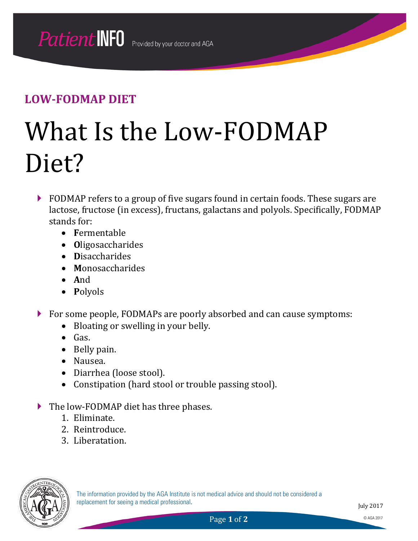# What Is the Low-FODMAP Diet?

- **FODMAP** refers to a group of five sugars found in certain foods. These sugars are lactose, fructose (in excess), fructans, galactans and polyols. Specifically, FODMAP stands for:
	- **F**ermentable
	- **O**ligosaccharides
	- **D**isaccharides
	- **M**onosaccharides
	- **A**nd
	- **P**olyols
- For some people, FODMAPs are poorly absorbed and can cause symptoms:
	- Bloating or swelling in your belly.
	- Gas.
	- Belly pain.
	- Nausea.
	- Diarrhea (loose stool).
	- Constipation (hard stool or trouble passing stool).
- The low-FODMAP diet has three phases.
	- 1. Eliminate.
	- 2. Reintroduce.
	- 3. Liberatation.

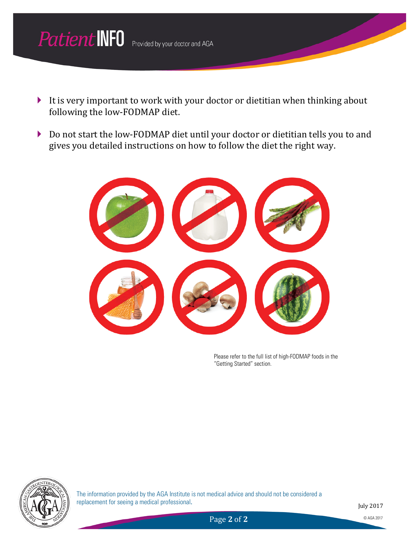

- It is very important to work with your doctor or dietitian when thinking about following the low-FODMAP diet.
- ▶ Do not start the low-FODMAP diet until your doctor or dietitian tells you to and gives you detailed instructions on how to follow the diet the right way.

Please refer to the full list of high-FODMAP foods in the "Getting Started" section.



The information provided by the AGA Institute is not medical advice and should not be considered a replacement for seeing a medical professional.

July 2017

Page 2 of 2 © AGA 2017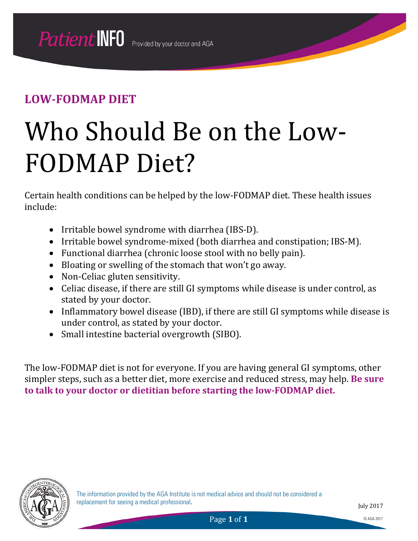# Who Should Be on the Low-FODMAP Diet?

Certain health conditions can be helped by the low-FODMAP diet. These health issues include:

- Irritable bowel syndrome with diarrhea (IBS-D).
- Irritable bowel syndrome-mixed (both diarrhea and constipation; IBS-M).
- Functional diarrhea (chronic loose stool with no belly pain).
- Bloating or swelling of the stomach that won't go away.
- Non-Celiac gluten sensitivity.
- Celiac disease, if there are still GI symptoms while disease is under control, as stated by your doctor.
- Inflammatory bowel disease (IBD), if there are still GI symptoms while disease is under control, as stated by your doctor.
- Small intestine bacterial overgrowth (SIBO).

The low-FODMAP diet is not for everyone. If you are having general GI symptoms, other simpler steps, such as a better diet, more exercise and reduced stress, may help. **Be sure to talk to your doctor or dietitian before starting the low-FODMAP diet.**

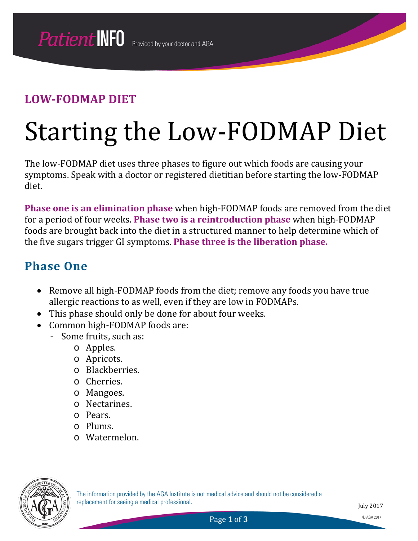# Starting the Low-FODMAP Diet

The low-FODMAP diet uses three phases to figure out which foods are causing your symptoms. Speak with a doctor or registered dietitian before starting the low-FODMAP diet.

**Phase one is an elimination phase** when high-FODMAP foods are removed from the diet for a period of four weeks. **Phase two is a reintroduction phase** when high-FODMAP foods are brought back into the diet in a structured manner to help determine which of the five sugars trigger GI symptoms. **Phase three is the liberation phase.**

### **Phase One**

- Remove all high-FODMAP foods from the diet; remove any foods you have true allergic reactions to as well, even if they are low in FODMAPs.
- This phase should only be done for about four weeks.
- Common high-FODMAP foods are:
	- Some fruits, such as:
		- o Apples.
		- o Apricots.
		- o Blackberries.
		- o Cherries.
		- o Mangoes.
		- o Nectarines.
		- o Pears.
		- o Plums.
		- o Watermelon.

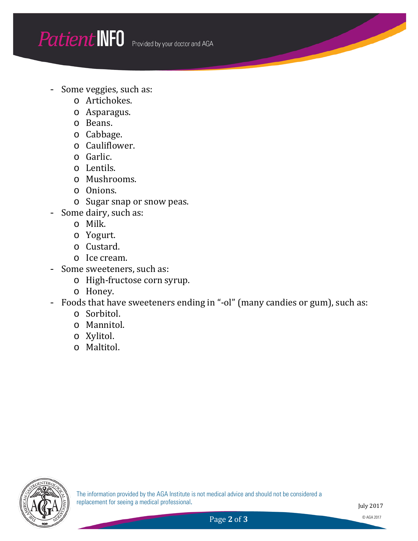- Some veggies, such as:
	- o Artichokes.
	- o Asparagus.
	- o Beans.
	- o Cabbage.
	- o Cauliflower.
	- o Garlic.
	- o Lentils.
	- o Mushrooms.
	- o Onions.
	- o Sugar snap or snow peas.
- Some dairy, such as:
	- o Milk.
	- o Yogurt.
	- o Custard.
	- o Ice cream.
- Some sweeteners, such as:
	- o High-fructose corn syrup.
	- o Honey.
- Foods that have sweeteners ending in "-ol" (many candies or gum), such as:
	- o Sorbitol.
	- o Mannitol.
	- o Xylitol.
	- o Maltitol.

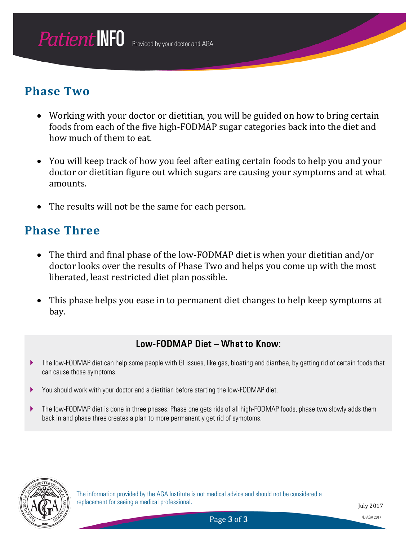#### **Phase Two**

- Working with your doctor or dietitian, you will be guided on how to bring certain foods from each of the five high-FODMAP sugar categories back into the diet and how much of them to eat.
- You will keep track of how you feel after eating certain foods to help you and your doctor or dietitian figure out which sugars are causing your symptoms and at what amounts.
- The results will not be the same for each person.

#### **Phase Three**

- The third and final phase of the low-FODMAP diet is when your dietitian and/or doctor looks over the results of Phase Two and helps you come up with the most liberated, least restricted diet plan possible.
- This phase helps you ease in to permanent diet changes to help keep symptoms at bay.

#### Low-FODMAP Diet – What to Know:

- The low-FODMAP diet can help some people with GI issues, like gas, bloating and diarrhea, by getting rid of certain foods that can cause those symptoms.
- You should work with your doctor and a dietitian before starting the low-FODMAP diet.
- The low-FODMAP diet is done in three phases: Phase one gets rids of all high-FODMAP foods, phase two slowly adds them back in and phase three creates a plan to more permanently get rid of symptoms.

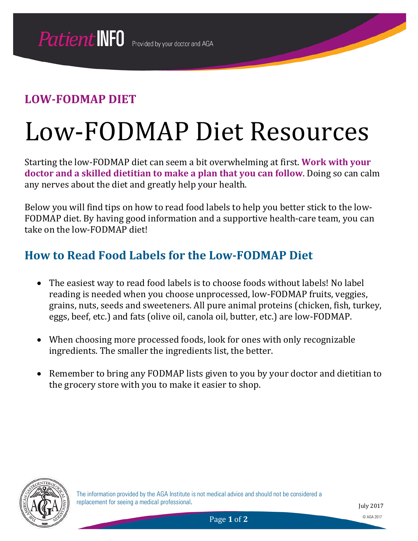## Low-FODMAP Diet Resources

Starting the low-FODMAP diet can seem a bit overwhelming at first. **Work with your doctor and a skilled dietitian to make a plan that you can follow**. Doing so can calm any nerves about the diet and greatly help your health.

Below you will find tips on how to read food labels to help you better stick to the low-FODMAP diet. By having good information and a supportive health-care team, you can take on the low-FODMAP diet!

### **How to Read Food Labels for the Low-FODMAP Diet**

- The easiest way to read food labels is to choose foods without labels! No label reading is needed when you choose unprocessed, low-FODMAP fruits, veggies, grains, nuts, seeds and sweeteners. All pure animal proteins (chicken, fish, turkey, eggs, beef, etc.) and fats (olive oil, canola oil, butter, etc.) are low-FODMAP.
- When choosing more processed foods, look for ones with only recognizable ingredients. The smaller the ingredients list, the better.
- Remember to bring any FODMAP lists given to you by your doctor and dietitian to the grocery store with you to make it easier to shop.